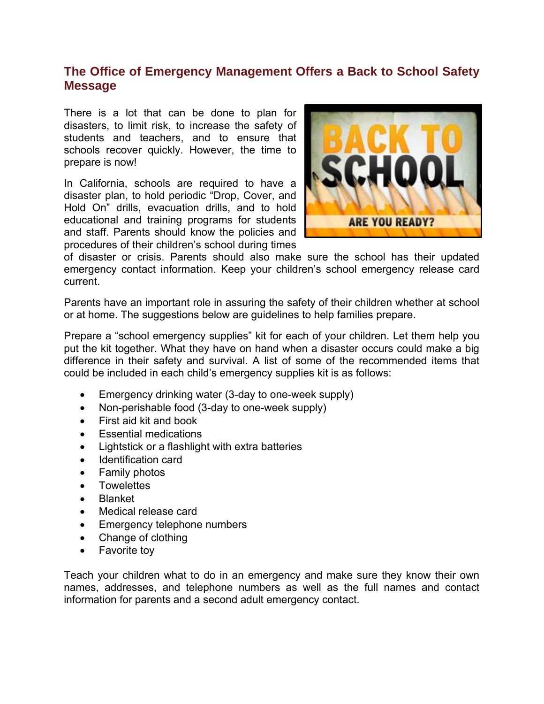## **The Office of Emergency Management Offers a Back to School Safety Message**

There is a lot that can be done to plan for disasters, to limit risk, to increase the safety of students and teachers, and to ensure that schools recover quickly. However, the time to prepare is now!

In California, schools are required to have a disaster plan, to hold periodic "Drop, Cover, and Hold On" drills, evacuation drills, and to hold educational and training programs for students and staff. Parents should know the policies and procedures of their children's school during times



of disaster or crisis. Parents should also make sure the school has their updated emergency contact information. Keep your children's school emergency release card current.

Parents have an important role in assuring the safety of their children whether at school or at home. The suggestions below are guidelines to help families prepare.

Prepare a "school emergency supplies" kit for each of your children. Let them help you put the kit together. What they have on hand when a disaster occurs could make a big difference in their safety and survival. A list of some of the recommended items that could be included in each child's emergency supplies kit is as follows:

- Emergency drinking water (3-day to one-week supply)
- Non-perishable food (3-day to one-week supply)
- First aid kit and book
- Essential medications
- Lightstick or a flashlight with extra batteries
- Identification card
- Family photos
- Towelettes
- Blanket
- Medical release card
- Emergency telephone numbers
- Change of clothing
- Favorite toy

Teach your children what to do in an emergency and make sure they know their own names, addresses, and telephone numbers as well as the full names and contact information for parents and a second adult emergency contact.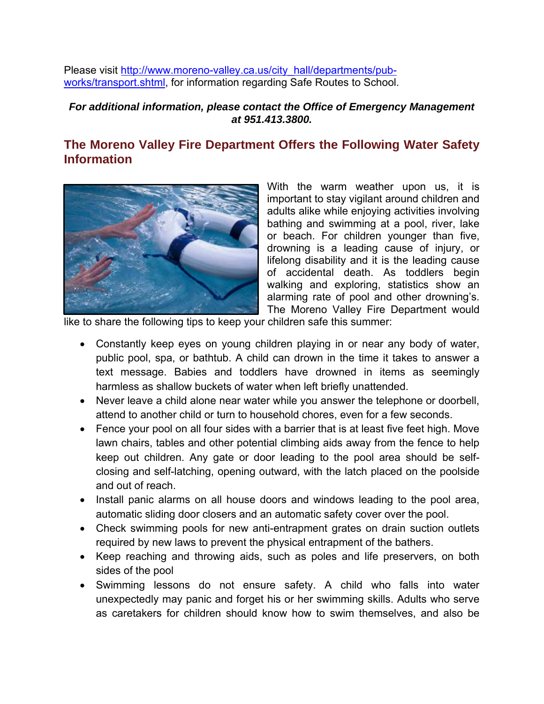Please visit [http://www.moreno-valley.ca.us/city\\_hall/departments/pub](http://www.moreno-valley.ca.us/city_hall/departments/pub-works/transport.shtml)[works/transport.shtml,](http://www.moreno-valley.ca.us/city_hall/departments/pub-works/transport.shtml) for information regarding Safe Routes to School.

### *For additional information, please contact the Office of Emergency Management at 951.413.3800.*

# **The Moreno Valley Fire Department Offers the Following Water Safety Information**



With the warm weather upon us, it is important to stay vigilant around children and adults alike while enjoying activities involving bathing and swimming at a pool, river, lake or beach. For children younger than five, drowning is a leading cause of injury, or lifelong disability and it is the leading cause of accidental death. As toddlers begin walking and exploring, statistics show an alarming rate of pool and other drowning's. The Moreno Valley Fire Department would

like to share the following tips to keep your children safe this summer:

- Constantly keep eyes on young children playing in or near any body of water, public pool, spa, or bathtub. A child can drown in the time it takes to answer a text message. Babies and toddlers have drowned in items as seemingly harmless as shallow buckets of water when left briefly unattended.
- Never leave a child alone near water while you answer the telephone or doorbell, attend to another child or turn to household chores, even for a few seconds.
- Fence your pool on all four sides with a barrier that is at least five feet high. Move lawn chairs, tables and other potential climbing aids away from the fence to help keep out children. Any gate or door leading to the pool area should be selfclosing and self-latching, opening outward, with the latch placed on the poolside and out of reach.
- Install panic alarms on all house doors and windows leading to the pool area, automatic sliding door closers and an automatic safety cover over the pool.
- Check swimming pools for new anti-entrapment grates on drain suction outlets required by new laws to prevent the physical entrapment of the bathers.
- Keep reaching and throwing aids, such as poles and life preservers, on both sides of the pool
- Swimming lessons do not ensure safety. A child who falls into water unexpectedly may panic and forget his or her swimming skills. Adults who serve as caretakers for children should know how to swim themselves, and also be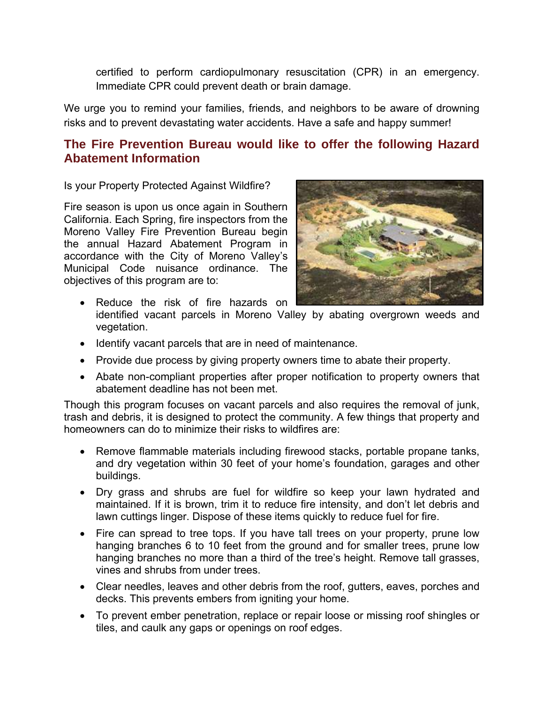certified to perform cardiopulmonary resuscitation (CPR) in an emergency. Immediate CPR could prevent death or brain damage.

We urge you to remind your families, friends, and neighbors to be aware of drowning risks and to prevent devastating water accidents. Have a safe and happy summer!

### **The Fire Prevention Bureau would like to offer the following Hazard Abatement Information**

Is your Property Protected Against Wildfire?

Fire season is upon us once again in Southern California. Each Spring, fire inspectors from the Moreno Valley Fire Prevention Bureau begin the annual Hazard Abatement Program in accordance with the City of Moreno Valley's Municipal Code nuisance ordinance. The objectives of this program are to:



- Reduce the risk of fire hazards on
- identified vacant parcels in Moreno Valley by abating overgrown weeds and vegetation.
- Identify vacant parcels that are in need of maintenance.
- Provide due process by giving property owners time to abate their property.
- Abate non-compliant properties after proper notification to property owners that abatement deadline has not been met.

Though this program focuses on vacant parcels and also requires the removal of junk, trash and debris, it is designed to protect the community. A few things that property and homeowners can do to minimize their risks to wildfires are:

- Remove flammable materials including firewood stacks, portable propane tanks, and dry vegetation within 30 feet of your home's foundation, garages and other buildings.
- Dry grass and shrubs are fuel for wildfire so keep your lawn hydrated and maintained. If it is brown, trim it to reduce fire intensity, and don't let debris and lawn cuttings linger. Dispose of these items quickly to reduce fuel for fire.
- Fire can spread to tree tops. If you have tall trees on your property, prune low hanging branches 6 to 10 feet from the ground and for smaller trees, prune low hanging branches no more than a third of the tree's height. Remove tall grasses, vines and shrubs from under trees.
- Clear needles, leaves and other debris from the roof, gutters, eaves, porches and decks. This prevents embers from igniting your home.
- To prevent ember penetration, replace or repair loose or missing roof shingles or tiles, and caulk any gaps or openings on roof edges.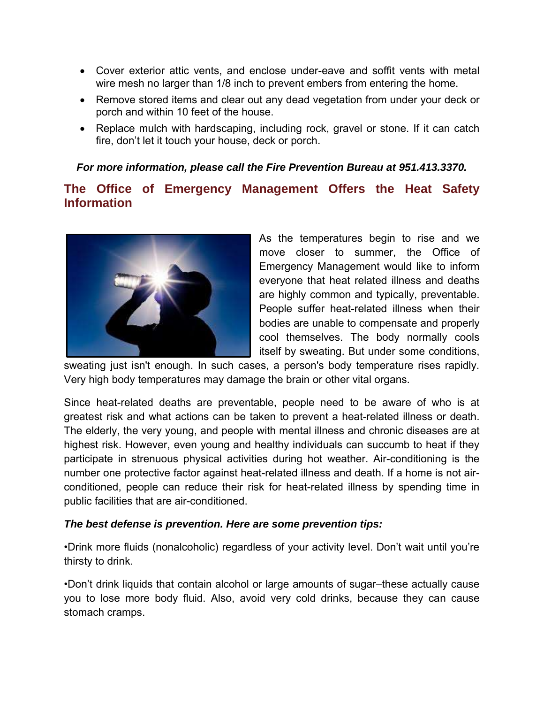- Cover exterior attic vents, and enclose under-eave and soffit vents with metal wire mesh no larger than 1/8 inch to prevent embers from entering the home.
- Remove stored items and clear out any dead vegetation from under your deck or porch and within 10 feet of the house.
- Replace mulch with hardscaping, including rock, gravel or stone. If it can catch fire, don't let it touch your house, deck or porch.

### *For more information, please call the Fire Prevention Bureau at 951.413.3370.*

## **The Office of Emergency Management Offers the Heat Safety Information**



As the temperatures begin to rise and we move closer to summer, the Office of Emergency Management would like to inform everyone that heat related illness and deaths are highly common and typically, preventable. People suffer heat-related illness when their bodies are unable to compensate and properly cool themselves. The body normally cools itself by sweating. But under some conditions,

sweating just isn't enough. In such cases, a person's body temperature rises rapidly. Very high body temperatures may damage the brain or other vital organs.

Since heat-related deaths are preventable, people need to be aware of who is at greatest risk and what actions can be taken to prevent a heat-related illness or death. The elderly, the very young, and people with mental illness and chronic diseases are at highest risk. However, even young and healthy individuals can succumb to heat if they participate in strenuous physical activities during hot weather. Air-conditioning is the number one protective factor against heat-related illness and death. If a home is not airconditioned, people can reduce their risk for heat-related illness by spending time in public facilities that are air-conditioned.

### *The best defense is prevention. Here are some prevention tips:*

•Drink more fluids (nonalcoholic) regardless of your activity level. Don't wait until you're thirsty to drink.

•Don't drink liquids that contain alcohol or large amounts of sugar–these actually cause you to lose more body fluid. Also, avoid very cold drinks, because they can cause stomach cramps.